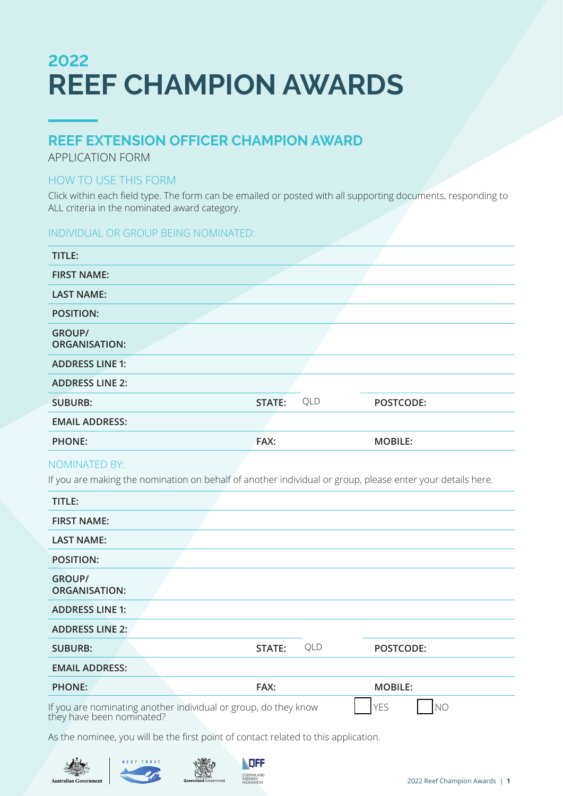# **2022 REEF CHAMPION AWARDS**

## **REEF EXTENSION OFFICER CHAMPION AWARD**

APPLICATION FORM

### HOW TO USE THIS FORM

Click within each field type. The form can be emailed or posted with all supporting documents, responding to ALL criteria in the nominated award category.

### INDIVIDUAL OR GROUP BEING NOMINATED:

| TITLE:                                |        |     |                |
|---------------------------------------|--------|-----|----------------|
| <b>FIRST NAME:</b>                    |        |     |                |
| <b>LAST NAME:</b>                     |        |     |                |
| <b>POSITION:</b>                      |        |     |                |
| <b>GROUP/</b><br><b>ORGANISATION:</b> |        |     |                |
| <b>ADDRESS LINE 1:</b>                |        |     |                |
| <b>ADDRESS LINE 2:</b>                |        |     |                |
| <b>SUBURB:</b>                        | STATE: | QLD | POSTCODE:      |
| <b>EMAIL ADDRESS:</b>                 |        |     |                |
| <b>PHONE:</b>                         | FAX:   |     | <b>MOBILE:</b> |

### NOMINATED BY:

If you are making the nomination on behalf of another individual or group, please enter your details here.

| TITLE:                                |                                                                                              |     |                              |
|---------------------------------------|----------------------------------------------------------------------------------------------|-----|------------------------------|
| <b>FIRST NAME:</b>                    |                                                                                              |     |                              |
| <b>LAST NAME:</b>                     |                                                                                              |     |                              |
| <b>POSITION:</b>                      |                                                                                              |     |                              |
| <b>GROUP/</b><br><b>ORGANISATION:</b> |                                                                                              |     |                              |
| <b>ADDRESS LINE 1:</b>                |                                                                                              |     |                              |
| <b>ADDRESS LINE 2:</b>                |                                                                                              |     |                              |
| <b>SUBURB:</b>                        | STATE:                                                                                       | QLD | POSTCODE:                    |
| <b>EMAIL ADDRESS:</b>                 |                                                                                              |     |                              |
| <b>PHONE:</b>                         | FAX:                                                                                         |     | <b>MOBILE:</b>               |
|                                       | If you are nominating another individual or group, do they know<br>they have been nominated? |     | <b>YES</b><br>N <sub>O</sub> |

As the nominee, you will be the first point of contact related to this application.





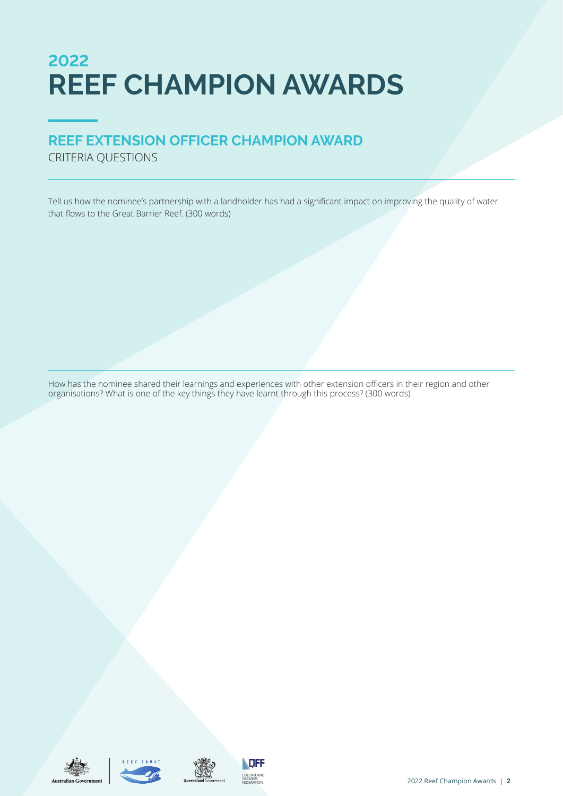# **2022 REEF CHAMPION AWARDS**

## **REEF EXTENSION OFFICER CHAMPION AWARD**

CRITERIA QUESTIONS

Tell us how the nominee's partnership with a landholder has had a significant impact on improving the quality of water that flows to the Great Barrier Reef. (300 words)

How has the nominee shared their learnings and experiences with other extension officers in their region and other organisations? What is one of the key things they have learnt through this process? (300 words)